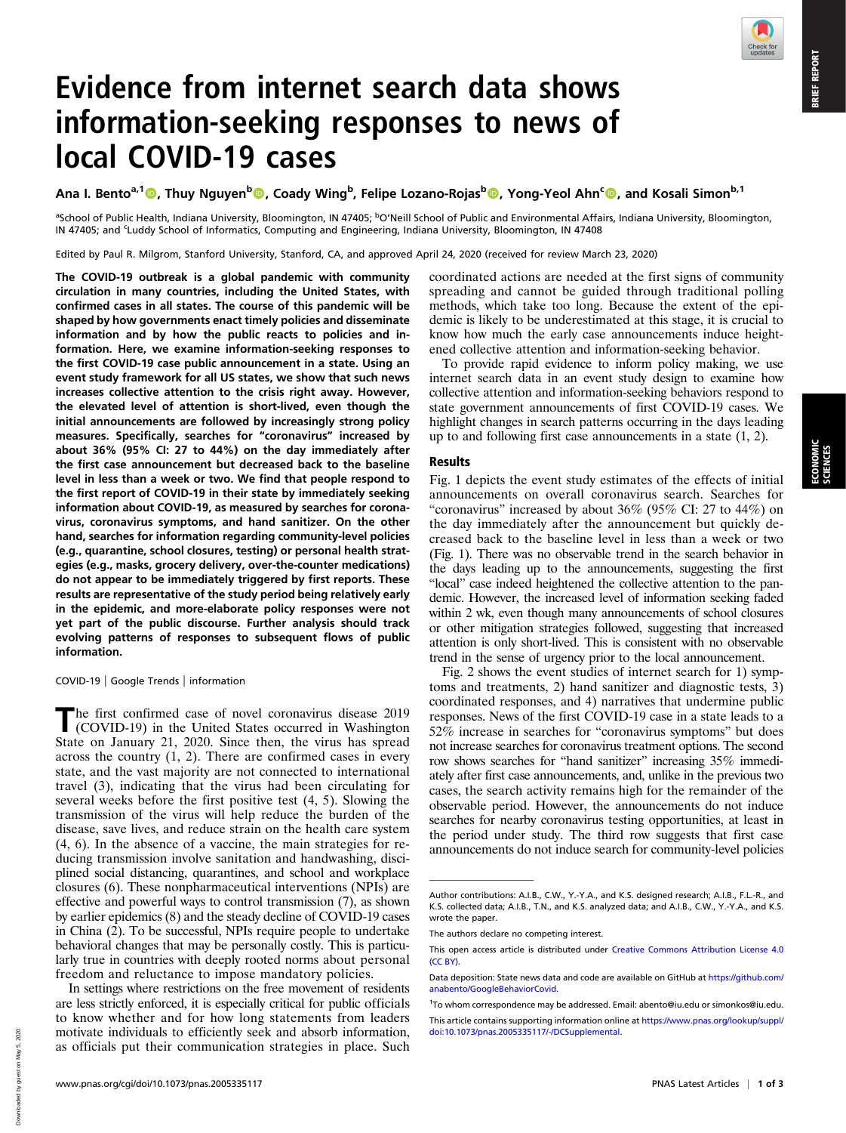ECONOMIC SCIENCES

# Evidence from internet search data shows information-seeking responses to news of local COVID-19 cases

Ana I. Bento<sup>a,1</sup>©, Thuy Nguyen<sup>b</sup>©, Coady Wing<sup>b</sup>, Felipe Lozano-Rojas<sup>b</sup>©, Yong-Yeol Ahn<sup>c</sup>©, and Kosali Simon<sup>b,1</sup>

<sup>a</sup>School of Public Health, Indiana University, Bloomington, IN 47405; <sup>b</sup>O'Neill School of Public and Environmental Affairs, Indiana University, Bloomington, IN 47405; and 'Luddy School of Informatics, Computing and Engineering, Indiana University, Bloomington, IN 47408

Edited by Paul R. Milgrom, Stanford University, Stanford, CA, and approved April 24, 2020 (received for review March 23, 2020)

The COVID-19 outbreak is a global pandemic with community circulation in many countries, including the United States, with confirmed cases in all states. The course of this pandemic will be shaped by how governments enact timely policies and disseminate information and by how the public reacts to policies and information. Here, we examine information-seeking responses to the first COVID-19 case public announcement in a state. Using an event study framework for all US states, we show that such news increases collective attention to the crisis right away. However, the elevated level of attention is short-lived, even though the initial announcements are followed by increasingly strong policy measures. Specifically, searches for "coronavirus" increased by about 36% (95% CI: 27 to 44%) on the day immediately after the first case announcement but decreased back to the baseline level in less than a week or two. We find that people respond to the first report of COVID-19 in their state by immediately seeking information about COVID-19, as measured by searches for coronavirus, coronavirus symptoms, and hand sanitizer. On the other hand, searches for information regarding community-level policies (e.g., quarantine, school closures, testing) or personal health strategies (e.g., masks, grocery delivery, over-the-counter medications) do not appear to be immediately triggered by first reports. These results are representative of the study period being relatively early in the epidemic, and more-elaborate policy responses were not yet part of the public discourse. Further analysis should track evolving patterns of responses to subsequent flows of public information.

COVID-19 | Google Trends | information

The first confirmed case of novel coronavirus disease 2019<br>(COVID-19) in the United States occurred in Washington State on January 21, 2020. Since then, the virus has spread across the country (1, 2). There are confirmed cases in every state, and the vast majority are not connected to international travel (3), indicating that the virus had been circulating for several weeks before the first positive test (4, 5). Slowing the transmission of the virus will help reduce the burden of the disease, save lives, and reduce strain on the health care system (4, 6). In the absence of a vaccine, the main strategies for reducing transmission involve sanitation and handwashing, disciplined social distancing, quarantines, and school and workplace closures (6). These nonpharmaceutical interventions (NPIs) are effective and powerful ways to control transmission (7), as shown by earlier epidemics (8) and the steady decline of COVID-19 cases in China  $(2)$ . To be successful, NPIs require people to undertake behavioral changes that may be personally costly. This is particularly true in countries with deeply rooted norms about personal freedom and reluctance to impose mandatory policies.

In settings where restrictions on the free movement of residents are less strictly enforced, it is especially critical for public officials to know whether and for how long statements from leaders motivate individuals to efficiently seek and absorb information, as officials put their communication strategies in place. Such

coordinated actions are needed at the first signs of community spreading and cannot be guided through traditional polling methods, which take too long. Because the extent of the epidemic is likely to be underestimated at this stage, it is crucial to know how much the early case announcements induce heightened collective attention and information-seeking behavior.

To provide rapid evidence to inform policy making, we use internet search data in an event study design to examine how collective attention and information-seeking behaviors respond to state government announcements of first COVID-19 cases. We highlight changes in search patterns occurring in the days leading up to and following first case announcements in a state (1, 2).

## Results

Fig. 1 depicts the event study estimates of the effects of initial announcements on overall coronavirus search. Searches for "coronavirus" increased by about  $36\%$  (95% CI: 27 to  $44\%$ ) on the day immediately after the announcement but quickly decreased back to the baseline level in less than a week or two (Fig. 1). There was no observable trend in the search behavior in the days leading up to the announcements, suggesting the first "local" case indeed heightened the collective attention to the pandemic. However, the increased level of information seeking faded within 2 wk, even though many announcements of school closures or other mitigation strategies followed, suggesting that increased attention is only short-lived. This is consistent with no observable trend in the sense of urgency prior to the local announcement.

Fig. 2 shows the event studies of internet search for 1) symptoms and treatments, 2) hand sanitizer and diagnostic tests, 3) coordinated responses, and 4) narratives that undermine public responses. News of the first COVID-19 case in a state leads to a 52% increase in searches for "coronavirus symptoms" but does not increase searches for coronavirus treatment options. The second row shows searches for "hand sanitizer" increasing 35% immediately after first case announcements, and, unlike in the previous two cases, the search activity remains high for the remainder of the observable period. However, the announcements do not induce searches for nearby coronavirus testing opportunities, at least in the period under study. The third row suggests that first case announcements do not induce search for community-level policies

Author contributions: A.I.B., C.W., Y.-Y.A., and K.S. designed research; A.I.B., F.L.-R., and K.S. collected data; A.I.B., T.N., and K.S. analyzed data; and A.I.B., C.W., Y.-Y.A., and K.S. wrote the paper.

The authors declare no competing interest.

This open access article is distributed under [Creative Commons Attribution License 4.0](http://creativecommons.org/licenses/by/4.0/) [\(CC BY\).](http://creativecommons.org/licenses/by/4.0/)

Data deposition: State news data and code are available on GitHub at [https://github.com/](https://github.com/anabento/GoogleBehaviorCovid) [anabento/GoogleBehaviorCovid.](https://github.com/anabento/GoogleBehaviorCovid)

<sup>1</sup> To whom correspondence may be addressed. Email: [abento@iu.edu](mailto:abento@iu.edu) or [simonkos@iu.edu](mailto:simonkos@iu.edu). This article contains supporting information online at [https://www.pnas.org/lookup/suppl/](https://www.pnas.org/lookup/suppl/doi:10.1073/pnas.2005335117/-/DCSupplemental) [doi:10.1073/pnas.2005335117/-/DCSupplemental.](https://www.pnas.org/lookup/suppl/doi:10.1073/pnas.2005335117/-/DCSupplemental)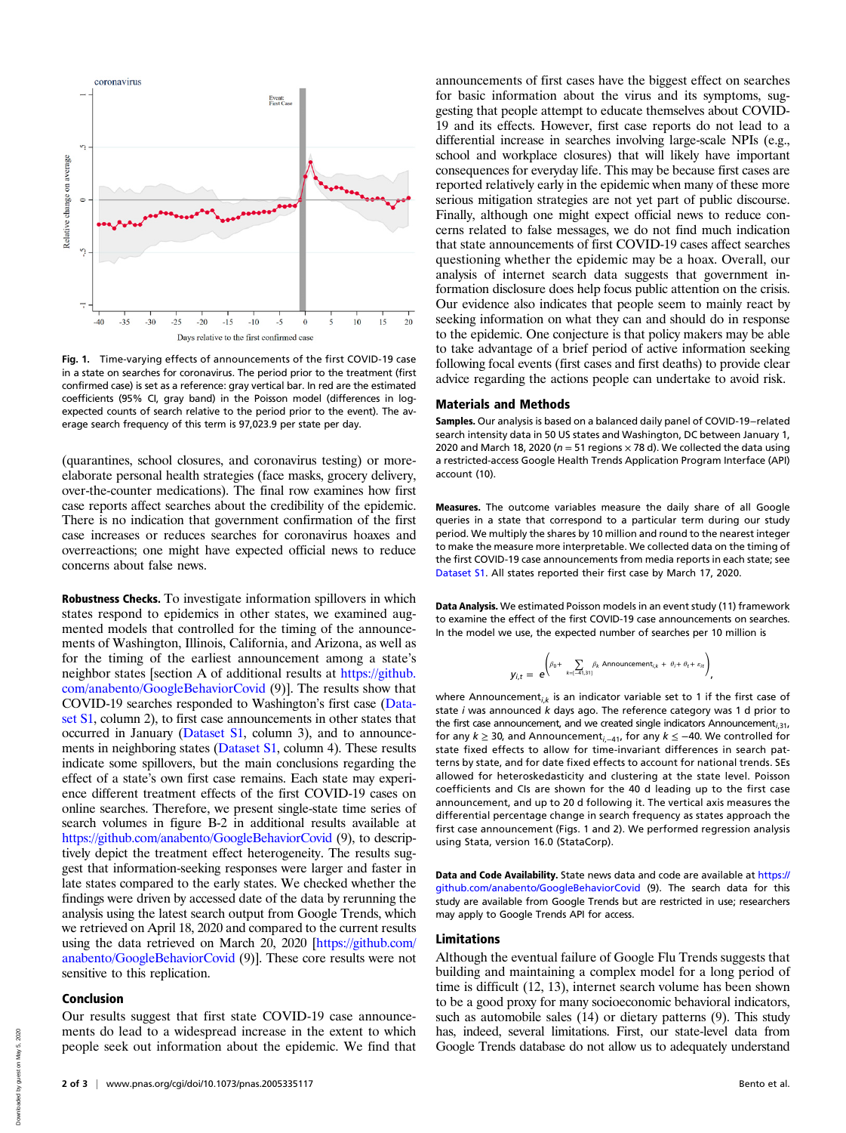

Fig. 1. Time-varying effects of announcements of the first COVID-19 case in a state on searches for coronavirus. The period prior to the treatment (first confirmed case) is set as a reference: gray vertical bar. In red are the estimated coefficients (95% CI, gray band) in the Poisson model (differences in logexpected counts of search relative to the period prior to the event). The average search frequency of this term is 97,023.9 per state per day.

(quarantines, school closures, and coronavirus testing) or moreelaborate personal health strategies (face masks, grocery delivery, over-the-counter medications). The final row examines how first case reports affect searches about the credibility of the epidemic. There is no indication that government confirmation of the first case increases or reduces searches for coronavirus hoaxes and overreactions; one might have expected official news to reduce concerns about false news.

Robustness Checks. To investigate information spillovers in which states respond to epidemics in other states, we examined augmented models that controlled for the timing of the announcements of Washington, Illinois, California, and Arizona, as well as for the timing of the earliest announcement among a state's neighbor states [section A of additional results at [https://github.](https://github.com/anabento/GoogleBehaviorCovid) [com/anabento/GoogleBehaviorCovid](https://github.com/anabento/GoogleBehaviorCovid) (9)]. The results show that COVID-19 searches responded to Washington's first case ([Data](https://www.pnas.org/lookup/suppl/doi:10.1073/pnas.2005335117/-/DCSupplemental)[set S1,](https://www.pnas.org/lookup/suppl/doi:10.1073/pnas.2005335117/-/DCSupplemental) column 2), to first case announcements in other states that occurred in January ([Dataset S1](https://www.pnas.org/lookup/suppl/doi:10.1073/pnas.2005335117/-/DCSupplemental), column 3), and to announcements in neighboring states ([Dataset S1](https://www.pnas.org/lookup/suppl/doi:10.1073/pnas.2005335117/-/DCSupplemental), column 4). These results indicate some spillovers, but the main conclusions regarding the effect of a state's own first case remains. Each state may experience different treatment effects of the first COVID-19 cases on online searches. Therefore, we present single-state time series of search volumes in figure B-2 in additional results available at <https://github.com/anabento/GoogleBehaviorCovid> (9), to descriptively depict the treatment effect heterogeneity. The results suggest that information-seeking responses were larger and faster in late states compared to the early states. We checked whether the findings were driven by accessed date of the data by rerunning the analysis using the latest search output from Google Trends, which we retrieved on April 18, 2020 and compared to the current results using the data retrieved on March 20, 2020 [[https://github.com/](https://github.com/anabento/GoogleBehaviorCovid) [anabento/GoogleBehaviorCovid](https://github.com/anabento/GoogleBehaviorCovid) (9)]. These core results were not sensitive to this replication.

## Conclusion

Our results suggest that first state COVID-19 case announcements do lead to a widespread increase in the extent to which people seek out information about the epidemic. We find that announcements of first cases have the biggest effect on searches for basic information about the virus and its symptoms, suggesting that people attempt to educate themselves about COVID-19 and its effects. However, first case reports do not lead to a differential increase in searches involving large-scale NPIs (e.g., school and workplace closures) that will likely have important consequences for everyday life. This may be because first cases are reported relatively early in the epidemic when many of these more serious mitigation strategies are not yet part of public discourse. Finally, although one might expect official news to reduce concerns related to false messages, we do not find much indication that state announcements of first COVID-19 cases affect searches questioning whether the epidemic may be a hoax. Overall, our analysis of internet search data suggests that government information disclosure does help focus public attention on the crisis. Our evidence also indicates that people seem to mainly react by seeking information on what they can and should do in response to the epidemic. One conjecture is that policy makers may be able to take advantage of a brief period of active information seeking following focal events (first cases and first deaths) to provide clear advice regarding the actions people can undertake to avoid risk.

#### Materials and Methods

Samples. Our analysis is based on a balanced daily panel of COVID-19−related search intensity data in 50 US states and Washington, DC between January 1, 2020 and March 18, 2020 ( $n = 51$  regions  $\times$  78 d). We collected the data using a restricted-access Google Health Trends Application Program Interface (API) account (10).

Measures. The outcome variables measure the daily share of all Google queries in a state that correspond to a particular term during our study period. We multiply the shares by 10 million and round to the nearest integer to make the measure more interpretable. We collected data on the timing of the first COVID-19 case announcements from media reports in each state; see [Dataset S1.](https://www.pnas.org/lookup/suppl/doi:10.1073/pnas.2005335117/-/DCSupplemental) All states reported their first case by March 17, 2020.

Data Analysis. We estimated Poisson models in an event study (11) framework to examine the effect of the first COVID-19 case announcements on searches. In the model we use, the expected number of searches per 10 million is

$$
y_{i,t} = e^{\left(\beta_0 + \sum_{k=1-41,31]} \beta_k \text{ Announcement}_{i,k} + \theta_i + \theta_t + \varepsilon_{it}\right)},
$$

where Announcement $_{i,k}$  is an indicator variable set to 1 if the first case of state  $i$  was announced  $k$  days ago. The reference category was 1 d prior to the first case announcement, and we created single indicators Announcement $_{i,31}$ , for any  $k \geq 30$ , and Announcement<sub>i,−41</sub>, for any  $k \leq -40$ . We controlled for state fixed effects to allow for time-invariant differences in search patterns by state, and for date fixed effects to account for national trends. SEs allowed for heteroskedasticity and clustering at the state level. Poisson coefficients and CIs are shown for the 40 d leading up to the first case announcement, and up to 20 d following it. The vertical axis measures the differential percentage change in search frequency as states approach the first case announcement (Figs. 1 and 2). We performed regression analysis using Stata, version 16.0 (StataCorp).

Data and Code Availability. State news data and code are available at [https://](https://github.com/anabento/GoogleBehaviorCovid) [github.com/anabento/GoogleBehaviorCovid](https://github.com/anabento/GoogleBehaviorCovid) (9). The search data for this study are available from Google Trends but are restricted in use; researchers may apply to Google Trends API for access.

#### Limitations

Although the eventual failure of Google Flu Trends suggests that building and maintaining a complex model for a long period of time is difficult (12, 13), internet search volume has been shown to be a good proxy for many socioeconomic behavioral indicators, such as automobile sales (14) or dietary patterns (9). This study has, indeed, several limitations. First, our state-level data from Google Trends database do not allow us to adequately understand